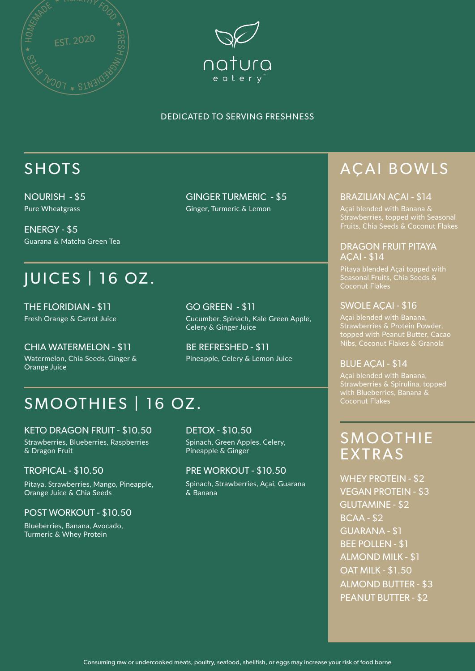



## SHOTS

NOURISH - \$5 Pure Wheatgrass

ENERGY - \$5 Guarana & Matcha Green Tea

# JUICES | 16 OZ.

THE FLORIDIAN - \$11 Fresh Orange & Carrot Juice

CHIA WATERMELON - \$11 Watermelon, Chia Seeds, Ginger & Orange Juice

GINGER TURMERIC - \$5 Ginger, Turmeric & Lemon

GO GREEN - \$11 Cucumber, Spinach, Kale Green Apple, Celery & Ginger Juice

BE REFRESHED - \$11 Pineapple, Celery & Lemon Juice

## SMOOTHIES | 16 OZ.

KETO DRAGON FRUIT - \$10.50 Strawberries, Blueberries, Raspberries & Dragon Fruit

### TROPICAL - \$10.50

Pitaya, Strawberries, Mango, Pineapple, Orange Juice & Chia Seeds

#### POST WORKOUT - \$10.50

Blueberries, Banana, Avocado, Turmeric & Whey Protein

DETOX - \$10.50 Spinach, Green Apples, Celery, Pineapple & Ginger

### PRE WORKOUT - \$10.50

Spinach, Strawberries, Açai, Guarana & Banana

# AÇAI BOWLS

#### BRAZILIAN AÇAI - \$14

Açai blended with Banana & Strawberries, topped with Seasonal Fruits, Chia Seeds & Coconut Flakes

#### DRAGON FRUIT PITAYA AÇAI - \$14

Pitaya blended Açai topped with Seasonal Fruits, Chia Seeds & Coconut Flakes

#### SWOLE AÇAI - \$16

topped with Peanut Butter, Cacao Nibs, Coconut Flakes & Granola

#### BLUE ACAI - \$14

Strawberries & Spirulina, topped with Blueberries, Banana & Coconut Flakes

### **SMOOTHIE** EXTRAS

WHEY PROTEIN - \$2 VEGAN PROTEIN - \$3 GUARANA - \$1 BEE POLLEN - \$1 ALMOND MILK - \$1 GLUTAMINE - \$2 BCAA - \$2 OAT MILK - \$1.50 ALMOND BUTTER - \$3 PEANUT BUTTER - \$2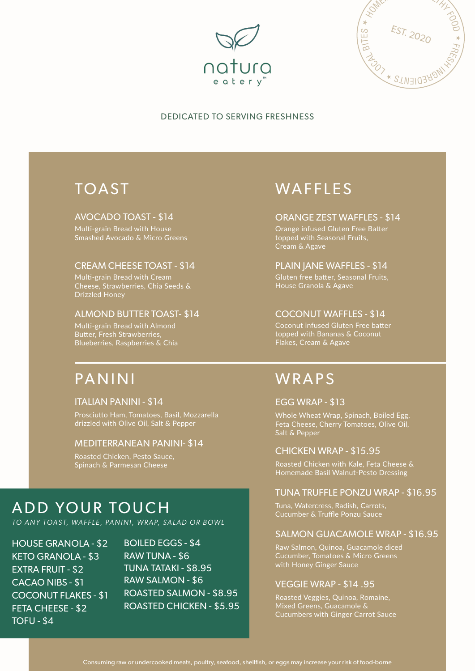



### TOAST

#### AVOCADO TOAST - \$14

Multi-grain Bread with House Smashed Avocado & Micro Greens

#### CREAM CHEESE TOAST - \$14

Multi-grain Bread with Cream Cheese, Strawberries, Chia Seeds & Drizzled Honey

#### ALMOND BUTTER TOAST- \$14

Multi-grain Bread with Almond Butter, Fresh Strawberries, Blueberries, Raspberries & Chia

### PANINI

#### ITALIAN PANINI - \$14

Prosciutto Ham, Tomatoes, Basil, Mozzarella drizzled with Olive Oil, Salt & Pepper

#### MEDITERRANEAN PANINI- \$14

Roasted Chicken, Pesto Sauce, Spinach & Parmesan Cheese

### ADD YOUR TOUCH

*TO A NY TOAST, WA F F L E , PA N I N I , W R A P, SA L A D O R B OW L*

HOUSE GRANOLA - \$2 KETO GRANOLA - \$3 EXTRA FRUIT - \$2 CACAO NIBS - \$1 COCONUT FLAKES - \$1 FETA CHEESE - \$2 TOFU - \$4

BOILED EGGS - \$4 RAW SALMON - \$6 ROASTED SALMON - \$8.95 ROASTED CHICKEN - \$5.95 RAW TUNA - \$6 TUNA TATAKI - \$8.95

### WAFFLES

#### ORANGE ZEST WAFFLES - \$14

Orange infused Gluten Free Batter topped with Seasonal Fruits, Cream & Agave

#### PLAIN JANE WAFFLES - \$14

Gluten free batter, Seasonal Fruits, House Granola & Agave

#### COCONUT WAFFLES - \$14

Coconut infused Gluten Free batter topped with Bananas & Coconut Flakes, Cream & Agave

### WRAPS

#### EGG WRAP - \$13

Whole Wheat Wrap, Spinach, Boiled Egg, Feta Cheese, Cherry Tomatoes, Olive Oil, Salt & Pepper

#### CHICKEN WRAP - \$15.95

Roasted Chicken with Kale, Feta Cheese & Homemade Basil Walnut-Pesto Dressing

#### TUNA TRUFFLE PONZU WRAP - \$16.95

Tuna, Watercress, Radish, Carrots, Cucumber & Truffle Ponzu Sauce

#### SALMON GUACAMOLE WRAP - \$16.95

Raw Salmon, Quinoa, Guacamole diced Cucumber, Tomatoes & Micro Greens with Honey Ginger Sauce

#### VEGGIE WRAP - \$14 .95

Roasted Veggies, Quinoa, Romaine, Mixed Greens, Guacamole & Cucumbers with Ginger Carrot Sauce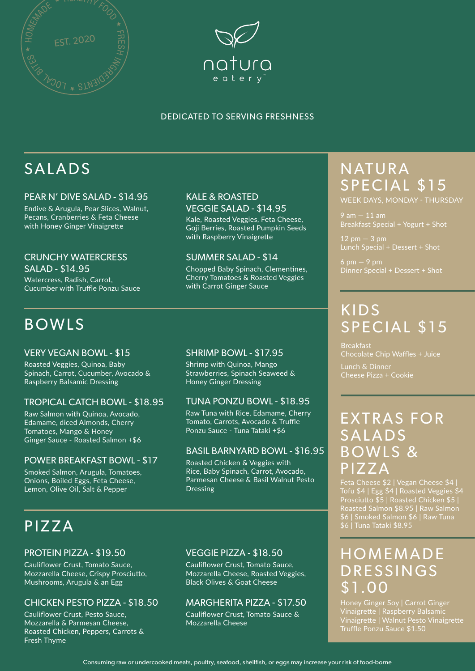



# SALADS

#### PEAR N' DIVE SALAD - \$14.95

Endive & Arugula, Pear Slices, Walnut, Pecans, Cranberries & Feta Cheese with Honey Ginger Vinaigrette

### CRUNCHY WATERCRESS

Watercress, Radish, Carrot, Cucumber with Truffle Ponzu Sauce SALAD - \$14.95

### BOWLS

#### VERY VEGAN BOWL - \$15

Roasted Veggies, Quinoa, Baby Spinach, Carrot, Cucumber, Avocado & Raspberry Balsamic Dressing

#### TROPICAL CATCH BOWL - \$18.95

Raw Salmon with Quinoa, Avocado, Edamame, diced Almonds, Cherry Tomatoes, Mango & Honey Ginger Sauce - Roasted Salmon +\$6

### POWER BREAKFAST BOWL - \$17

Smoked Salmon, Arugula, Tomatoes, Onions, Boiled Eggs, Feta Cheese, Lemon, Olive Oil, Salt & Pepper

#### KALE & ROASTED VEGGIE SALAD - \$14.95

Kale, Roasted Veggies, Feta Cheese, Goji Berries, Roasted Pumpkin Seeds with Raspberry Vinaigrette

#### SUMMER SALAD - \$14

Chopped Baby Spinach, Clementines, Cherry Tomatoes & Roasted Veggies with Carrot Ginger Sauce

#### SHRIMP BOWL - \$17.95

Shrimp with Quinoa, Mango Strawberries, Spinach Seaweed & Honey Ginger Dressing

#### TUNA PONZU BOWL - \$18.95

Raw Tuna with Rice, Edamame, Cherry Tomato, Carrots, Avocado & Truffle Ponzu Sauce - Tuna Tataki +\$6

#### BASIL BARNYARD BOWL - \$16.95

Roasted Chicken & Veggies with Rice, Baby Spinach, Carrot, Avocado, Parmesan Cheese & Basil Walnut Pesto Dressing

## PIZZA

#### PROTEIN PIZZA - \$19.50

Cauliflower Crust, Tomato Sauce, Mozzarella Cheese, Crispy Prosciutto, Mushrooms, Arugula & an Egg

#### CHICKEN PESTO PIZZA - \$18.50

Cauliflower Crust, Pesto Sauce, Mozzarella & Parmesan Cheese, Roasted Chicken, Peppers, Carrots & Fresh Thyme

#### VEGGIE PIZZA - \$18.50

Cauliflower Crust, Tomato Sauce, Mozzarella Cheese, Roasted Veggies, Black Olives & Goat Cheese

#### MARGHERITA PIZZA - \$17.50

Cauliflower Crust, Tomato Sauce & Mozzarella Cheese

### NATURA SPECIAL \$15 WEEK DAYS, MONDAY - THURSDAY

 $9$  am  $-11$  am Breakfast Special + Yogurt + Shot

Lunch Special + Dessert + Shot

 $6 \text{ pm} - 9 \text{ pm}$ Dinner Special + Dessert + Shot

### KIDS SPECIAL \$15

Breakfast Chocolate Chip Waffles + Juice

Lunch & Dinner Cheese Pizza + Cookie

### EXTRAS FOR SALADS BOWLS & PIZZA

Feta Cheese \$2 | Vegan Cheese \$4 | Tofu \$4 | Egg \$4 | Roasted Veggies \$4 Prosciutto \$5 | Roasted Chicken \$5 | Roasted Salmon \$8.95 | Raw Salmon \$6 | Smoked Salmon \$6 | Raw Tuna \$6 | Tuna Tataki \$8.95

### **HOMEMADE DRESSINGS** \$1.00

Honey Ginger Soy | Carrot Ginger Vinaigrette | Raspberry Balsamic Vinaigrette | Walnut Pesto Vinaigrette Truffle Ponzu Sauce \$1.50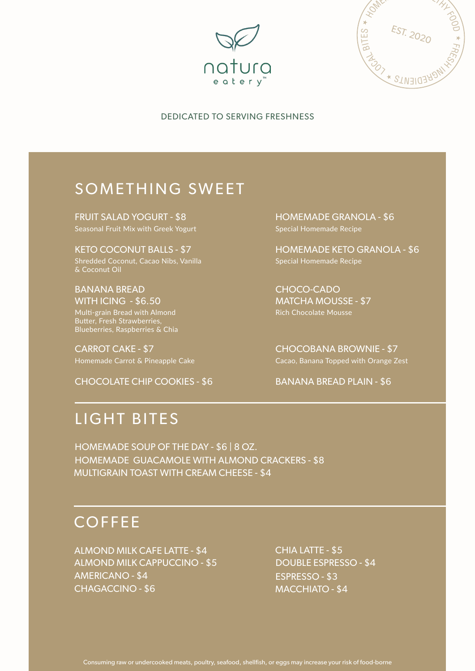



### SOMETHING SWEET

FRUIT SALAD YOGURT - \$8 Seasonal Fruit Mix with Greek Yogurt

KETO COCONUT BALLS - \$7 Shredded Coconut, Cacao Nibs, Vanilla & Coconut Oil

BANANA BREAD WITH ICING - \$6.50 Multi-grain Bread with Almond Butter, Fresh Strawberries, Blueberries, Raspberries & Chia

CARROT CAKE - \$7

CHOCOLATE CHIP COOKIES - \$6

HOMEMADE GRANOLA - \$6 Special Homemade Recipe

HOMEMADE KETO GRANOLA - \$6 Special Homemade Recipe

CHOCO-CADO MATCHA MOUSSE - \$7 Rich Chocolate Mousse

CHOCOBANA BROWNIE - \$7 Homemade Carrot & Pineapple Cake Cacao, Cacao, Banana Topped with Orange Zest

#### BANANA BREAD PLAIN - \$6

### LIGHT BITES

HOMEMADE SOUP OF THE DAY - \$6 | 8 OZ. HOMEMADE GUACAMOLE WITH ALMOND CRACKERS - \$8 MULTIGRAIN TOAST WITH CREAM CHEESE - \$4

### **COFFEE**

ALMOND MILK CAFE LATTE - \$4 ALMOND MILK CAPPUCCINO - \$5 AMERICANO - \$4 CHAGACCINO - \$6

CHIA LATTE - \$5 DOUBLE ESPRESSO - \$4 ESPRESSO - \$3 MACCHIATO - \$4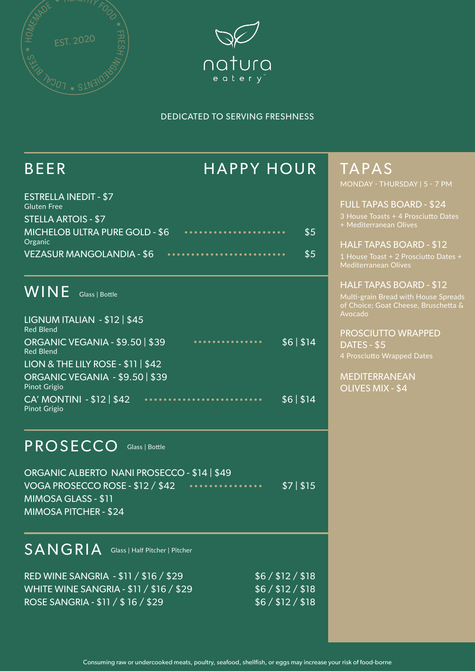



### BEER HAPPY HOUR

| <b>ESTRELLA INEDIT - \$7</b><br><b>Gluten Free</b> |     |
|----------------------------------------------------|-----|
| <b>STELLA ARTOIS - \$7</b>                         |     |
| <b>MICHELOB ULTRA PURE GOLD - \$6</b><br>Organic   | \$5 |
| <b>VEZASUR MANGOLANDIA - \$6</b>                   | \$5 |

### WINE Glass | Bottle

| LIGNUM ITALIAN - \$12   \$45<br><b>Red Blend</b>       |   |          |
|--------------------------------------------------------|---|----------|
| ORGANIC VEGANIA - \$9.50   \$39<br><b>Red Blend</b>    | . | \$6 \$14 |
| LION & THE LILY ROSE - $\frac{11}{511}$ \$42           |   |          |
| ORGANIC VEGANIA - \$9.50   \$39<br><b>Pinot Grigio</b> |   |          |
| CA' MONTINI - \$12   \$42<br><b>Pinot Grigio</b>       |   | \$6 \$14 |

### PROSECCO Glass | Bottle

ORGANIC ALBERTO NANI PROSECCO - \$14 | \$49 VOGA PROSECCO ROSE - \$12 / \$42 . . . . . . \$7 | \$15 MIMOSA GLASS - \$11 MIMOSA PITCHER - \$24

### $SANGRIA$  Glass | Half Pitcher | Pitcher

| RED WINE SANGRIA - \$11 / \$16 / \$29   | \$6/ \$12/ \$18 |
|-----------------------------------------|-----------------|
| WHITE WINE SANGRIA - \$11 / \$16 / \$29 | \$6/ \$12/ \$18 |
| ROSE SANGRIA - \$11 / \$16 / \$29       | \$6/ \$12/ \$18 |

### TAPAS MONDAY - THURSDAY | 5 - 7 PM

#### FULL TAPAS BOARD - \$24

3 House Toasts + 4 Prosciutto Dates + Mediterranean Olives

# HALF TAPAS BOARD - \$12

### HALF TAPAS BOARD - \$12 Multi-grain Bread with House Spreads

Avocado

#### PROSCIUTTO WRAPPED DATES - \$5

4 Prosciutto Wrapped Dates

#### MEDITERRANEAN OLIVES MIX - \$4